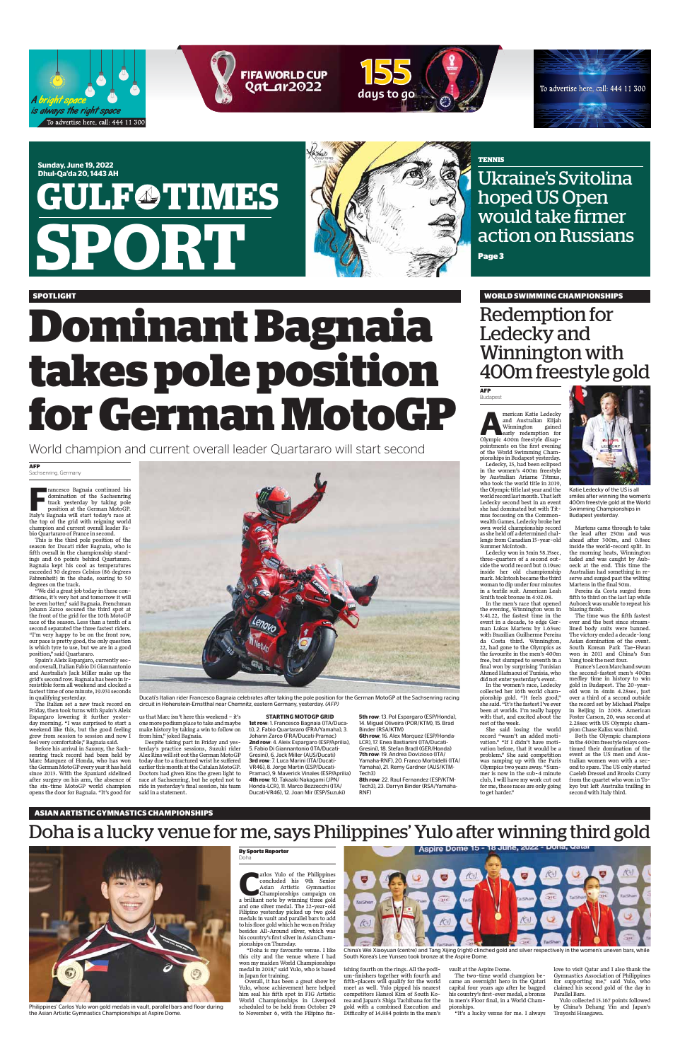**Sunday, June 19, 2022**

# **Dhul-Qa'da 20, 1443 AH SPORT GULF&TIMES**



**TENNIS**

Ukraine's Svitolina hoped US Open would take firmer action on Russians

**Page 3**









#### **ASIAN ARTISTIC GYMNASTICS CHAMPIONSHIPS**

# Doha is a lucky venue for me, says Philippines' Yulo after winning third gold

#### **By Sports Reporter**  Doha

**CARLOS YULO OF the Philippines**<br>
concluded his 9th Senior<br>
Asian Artistic Gymnastics<br>
Championships campaign on<br>
a brilliant note by winning three gold concluded his 9th Senior Asian Artistic Gymnastics Championships campaign on and one silver medal. The 22-year-old Filipino yesterday picked up two gold medals in vault and parallel bars to add to his floor gold which he won on Friday besides All-Around silver, which was his country's first silver in Asian Championships on Thursday.

Overall, it has been a great show by Yulo, whose achievement here helped him seal his fifth spot in FIG Artistic World Championships in Liverpool scheduled to be held from October 29 to November 6, with the Filipino finishing fourth on the rings. All the podium-finishers together with fourth and fifth-placers will qualify for the world meet as well. Yulo pipped his nearest competitors Hansol Kim of South Korea and Japan's Shiga Tachibana for the gold with a combined Execution and Difficulty of 14.884 points in the men's

 "Doha is my favourite venue. I like this city and the venue where I had won my maiden World Championships medal in 2018," said Yulo, who is based in Japan for training.

Francesco Bagnaia continued his<br>
domination of the Sachsenring<br>
track yesterday by taking pole<br>
position at the German MotoGP.<br>
Italy's Bagnaia will start today's race at rancesco Bagnaia continued his domination of the Sachsenring track yesterday by taking pole position at the German MotoGP. the top of the grid with reigning world champion and current overall leader Fabio Quartararo of France in second.

vault at the Aspire Dome.

The two-time world champion became an overnight hero in the Qatari capital four years ago after he bagged his country's first-ever medal, a bronze in men's Floor final, in a World Championships.

"It's a lucky venue for me. I always

love to visit Qatar and I also thank the Gymnastics Association of Philippines for supporting me," said Yulo, who claimed his second gold of the day in Parallel Bars.

Yulo collected 15.167 points followed by China's Dehang Yin and Japan's Tsuyoshi Hsaegawa.

**Dominant Bagnaia** 

**takes pole position** 

**for German MotoGP**

**SPOTLIGHT**

**AFP** Sachsenring, Germany

This is the third pole position of the season for Ducati rider Bagnaia, who is fifth overall in the championship standings and 66 points behind Quartararo. Bagnaia kept his cool as temperatures exceeded 30 degrees Celsius (86 degrees Fahrenheit) in the shade, soaring to 50 degrees on the track.

 $\tilde{ }^{\tilde{i}}$ We did a great job today in these conditions, it's very hot and tomorrow it will be even hotter," said Bagnaia. Frenchman Johann Zarco secured the third spot at he front of the grid for the 10th



race of the season. Less than a tenth of a second separated the three fastest riders. "I'm very happy to be on the front row, our pace is pretty good, the only question is which tyre to use, but we are in a good position," said Quartararo.

Spain's Aleix Espargaro, currently second overall, Italian Fabio Di Giannantonio and Australia's Jack Miller make up the grid's second row. Bagnaia has been in irresistible form all weekend and clocked a fastest time of one minute, 19.931 seconds in qualifying yesterday.

**American Katie Ledecky**<br> **American Katisty and Australian Elijah**<br>
Winnington gained<br>
early redemption for<br>
Olympic 400m freestyle disapand Australian Elijah Winnington gained early redemption for pointments on the first evening of the World Swimming Championships in Budapest yesterday. Ledecky, 25, had been eclipsed in the women's 400m freestyle by Australian Ariarne Titmus, who took the world title in 2019, the Olympic title last year and the world record last month. That left Ledecky second best in an event she had dominated but with Titmus focussing on the Commonwealth Games, Ledecky broke her

In the men's race that opened the evening, Winnington won in  $3:41.22$  the fastest time in the



The Italian set a new track record on Friday, then took turns with Spain's Aleix Espargaro lowering it further yesterday morning. "I was surprised to start a weekend like this, but the good feeling grew from session to session and now I feel very comfortable," Bagnaia said.

Before his arrival in Saxony, the Sachsenring track record had been held by Marc Marquez of Honda, who has won the German MotoGP every year it has held since 2013. With the Spaniard sidelined after surgery on his arm, the absence of the six-time MotoGP world champion opens the door for Bagnaia. "It's good for

Martens came through to take the lead after 250m and was ahead after 300m, and 0.8sec inside the world-record split. In the morning heats, Winnington faded and was caught by Auboeck at the end. This time the Australian had something in reserve and surged past the wilting Martens in the final 50m.

us that Marc isn't here this weekend – it's one more podium place to take and maybe make history by taking a win to follow on from him," joked Bagnaia.

Pereira da Costa surged from fifth to third on the last lap while Auboeck was unable to repeat his blazing finish.

The time was the fifth fastest

Despite taking part in Friday and yesterday's practice sessions, Suzuki rider Alex Rins will sit out the German MotoGP today due to a fractured wrist he suffered earlier this month at the Catalan MotoGP. Doctors had given Rins the green light to race at Sachsenring, but he opted not to ride in yesterday's final session, his team said in a statement.

**STARTING MOTOGP GRID**

**1st row**: 1. Francesco Bagnaia (ITA/Ducati), 2. Fabio Quartararo (FRA/Yamaha), 3. Johann Zarco (FRA/Ducati-Pramac) **2nd row**: 4. Aleix Espargaro (ESP/Aprilia), 5. Fabio Di Giannantonio (ITA/Ducati-Gresini), 6. Jack Miller (AUS/Ducati) **3rd row**: 7. Luca Marini (ITA/Ducati-VR46), 8. Jorge Martin (ESP/Ducati-Pramac), 9. Maverick Vinales (ESP/Aprilia) **4th row**: 10. Takaaki Nakagami (JPN/ Honda-LCR), 11. Marco Bezzecchi (ITA/ Ducati-VR46), 12. Joan Mir (ESP/Suzuki)

**5th row**: 13. Pol Espargaro (ESP/Honda), 14. Miguel Oliveira (POR/KTM), 15. Brad Binder (RSA/KTM)

**6th row**; 16. Alex Marquez (ESP/Honda-LCR), 17. Enea Bastianini (ITA/Ducati-Gresini), 18. Stefan Bradl (GER/Honda) **7th row**: 19. Andrea Dovizioso (ITA/ Yamaha-RNF), 20. Franco Morbidelli (ITA/ Yamaha), 21. Remy Gardner (AUS/KTM-Tech3)

**8th row**: 22. Raul Fernandez (ESP/KTM-Tech3), 23. Darryn Binder (RSA/Yamaha-RNF)

### World champion and current overall leader Quartararo will start second

Ducati's Italian rider Francesco Bagnaia celebrates after taking the pole position for the German MotoGP at the Sachsenring racing circuit in Hohenstein-Ernstthal near Chemnitz, eastern Germany, yesterday. *(AFP)*



Philippines' Carlos Yulo won gold medals in vault, parallel bars and floor during the Asian Artistic Gymnastics Championships at Aspire Dome.



China's Wei Xiaoyuan (centre) and Tang Xijing (right) clinched gold and silver respectively in the women's uneven bars, while South Korea's Lee Yunseo took bronze at the Aspire Dome.

Redemption for Ledecky and Winnington with 400m freestyle gold

#### **WORLD SWIMMING CHAMPIONSHIPS**

#### **AFP** Budapest

own world championship record as she held off a determined challenge from Canadian 15-year-old Summer McIntosh.

Ledecky won in 3min 58.15sec, three-quarters of a second outside the world record but 0.19sec inside her old championship mark. McIntosh became the third woman to dip under four minutes in a textile suit. American Leah Smith took bronze in 4:02.08.

event in a decade, to edge German Lukas Martens by 1.63sec with Brazilian Guilherme Pereira da Costa third. Winnington, 22, had gone to the Olympics as the favourite in the men's 400m free, but slumped to seventh in a final won by surprising Tunisian Ahmed Hafnaoui of Tunisia, who did not enter yesterday's event.

In the women's race, Ledecky collected her 16th world championship gold. "It feels good," she said. "It's the fastest I've ever been at worlds. I'm really happy with that, and excited about the rest of the week.

She said losing the world record "wasn't an added motivation." "If I didn't have motivation before, that it would be a problem." She said competition was ramping up with the Paris Olympics two years away. "Summer is now in the sub-4 minute club, I will have my work cut out for me, these races are only going to get harder."

ever and the best since streamlined body suits were banned. The victory ended a decade-long Asian domination of the event. South Korean Park Tae-Hwan won in 2011 and China's Sun Yang took the next four.

France's Leon Marchand swum the second-fastest men's 400m medley time in history to win gold in Budapest. The 20-yearold won in 4min 4.28sec, just over a third of a second outside the record set by Michael Phelps in Beijing in 2008. American Foster Carson, 20, was second at 2.28sec with US Olympic champion Chase Kalisz was third.

Both the Olympic champions in the 400m freestyle relays continued their domination of the event as the US men and Australian women won with a second to spare. The US only started Caeleb Dressel and Brooks Curry from the quartet who won in Tokyo but left Australia trailing in second with Italy third.

Katie Ledecky of the US is all smiles after winning the women's 400m freestyle gold at the World Swimming Championships in Budapest yesterday.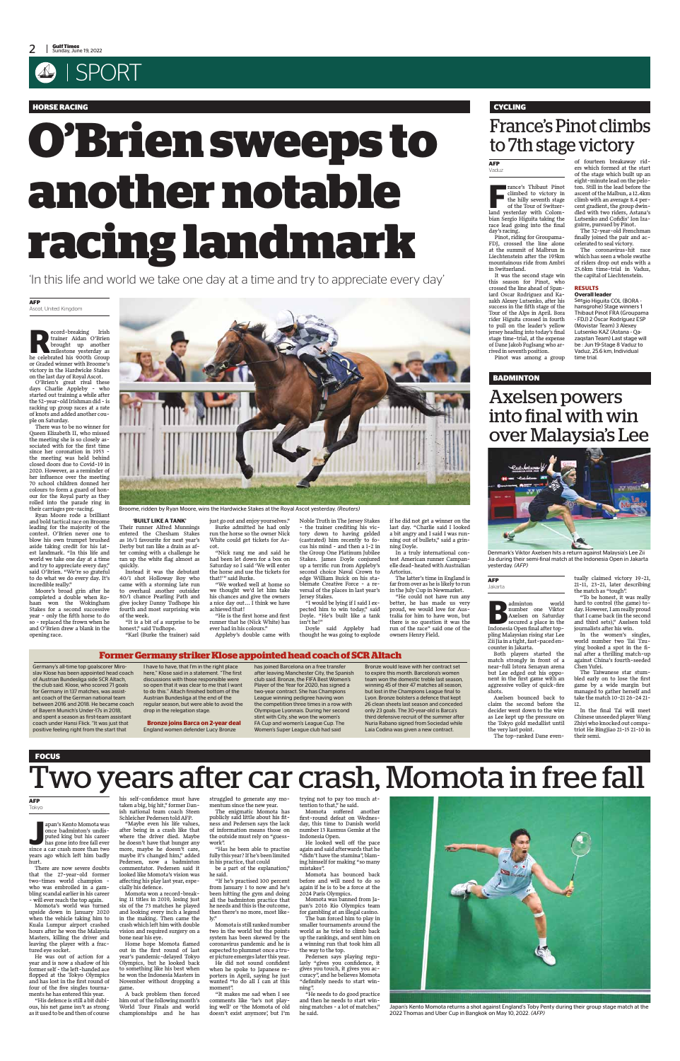

# **O'Brien sweeps to another notable racing landmark**

'In this life and world we take one day at a time and try to appreciate every day'

**AFP** Ascot, United Kingdom

**Record-breaking** Irish trainer Aidan O'Brien brought up another milestone yesterday as he celebrated his 900th Group trainer Aidan O'Brien brought up another milestone yesterday as or Graded winner with Broome's victory in the Hardwicke Stakes on the last day of Royal Ascot.

O'Brien's great rival these days Charlie Appleby - who started out training a while after the 52-year-old Irishman did - is racking up group races at a rate of knots and added another couple on Saturday.

There was to be no winner for Queen Elizabeth II, who missed the meeting she is so closely associated with for the first time since her coronation in 1953 the meeting was held behind closed doors due to Covid-19 in 2020. However, as a reminder of her influence over the meeting 70 school children donned her colours to form a guard of honour for the Royal party as they rolled into the parade ring in their carriages pre-racing.

Ryan Moore rode a brilliant and bold tactical race on Broome leading for the majority of the contest. O'Brien never one to blow his own trumpet brushed aside taking credit for his latest landmark. "In this life and world we take one day at a time and try to appreciate every day," said O'Brien. "We're so grateful to do what we do every day. It's incredible really."

"We worked well at home so we thought we'd let him take his chances and give the owners a nice day out... I think we have achieved that!  $"$ He is the first  $"$ 

Moore's broad grin after he completed a double when Rohaan won the Wokingham Stakes for a second successive only the fifth horse to do so - replaced the frown when he and O'Brien drew a blank in the opening race.

"I would be lying if I said I expected him to win today," said  $H\alpha'$ s built

#### **'BUILT LIKE A TANK'**

Their runner Alfred Munnings entered the Chesham Stakes as 16/1 favourite for next year's Derby but ran like a drain as after coming with a challenge he ran up the white flag almost as quickly.

> "He could not have run any better, he has made us very proud, we would love for Ausfor him to have

Instead it was the debutant 40/1 shot Holloway Boy who came with a storming late run to overhaul another outsider 80/1 chance Pearling Path and give jockey Danny Tudhope his fourth and most surprising win

**Japan's Kento Momota was once badminton's undis-puted king but his career has gone into free fall ever since a car crash more than two** apan's Kento Momota was once badminton's undisputed king but his career has gone into free fall ever years ago which left him badly hurt.

of the week. "It is a bit of a surprise to be honest," said Tudhope. "Karl (Burke the trainer) said

just go out and enjoy yourselves." Burke admitted he had only run the horse so the owner Nick White could get tickets for As-

cot. "Nick rang me and said he had been let down for a box on Saturday so I said 'We will enter the horse and use the tickets for that!'" said Burke.

his self-confidence must have taken a big, big hit," former Danish national team coach Steen Schleicher Pedersen told AFP.

"Maybe even his life values, after being in a crash like that where the driver died. Maybe he doesn't have that hunger any more, maybe he doesn't care, maybe it's changed him," added Pedersen, now a badminton commentator. Pedersen said it looked like Momota's vision was affecting his play last year, esperunner that he (Nick White) has ever had in his colours." Appleby's double came with

Noble Truth in The Jersey Stakes - the trainer crediting his victory down to having gelded (castrated) him recently to focus his mind - and then a 1-2 in the Group One Platinum Jubilee Stakes. James Doyle conjured up a terrific run from Appleby's second choice Naval Crown to edge William Buick on his stablemate Creative Force - a reversal of the places in last year's Jersey Stakes.

struggled to generate any momentum since the new year. The enigmatic Momota has publicly said little about his fitisn't he!"

Doyle said Appleby had thought he was going to explode if he did not get a winner on the last day. "Charlie said I looked a bit angry and I said I was running out of bullets," said a grinning Doyle.

In a truly international contest American runner Campanelle dead-heated with Australian Artorius.

Momota suffered another first-round defeat on Wednesday, this time to Danish world number 13 Rasmus Gemke at the Indonesia Open.

The latter's time in England is far from over as he is likely to run in the July Cup in Newmarket.

there is no question it was the run of the race" said one of the owners Henry Field.

#### **HORSE RACING**

#### **AFP**

Tokyo

**France's Thibaut Pinot**<br> **France's** climbed to victory in<br>
the hilly seventh stage<br>
of the Tour of Switzer-<br>
land yesterday with Colomrance's Thibaut Pinot climbed to victory in the hilly seventh stage of the Tour of Switzerbian Sergio Higuita taking the race lead going into the final day's racing.

There are now severe doubts that the 27-year-old former two-times world champion who was embroiled in a gambling scandal earlier in his career - will ever reach the top again.

Momota's world was turned upside down in January 2020 when the vehicle taking him to Kuala Lumpur airport crashed hours after he won the Malaysia Masters, killing the driver and leaving the player with a fractured eye socket.

He was out of action for a year and is now a shadow of his former self - the left-handed ace flopped at the Tokyo Olympics and has lost in the first round of four of the five singles tournaments he has entered this year.

"His defence is still a bit dubious, his net game isn't as strong as it used to be and then of course

**Badminton** world<br> **Badmindel America** Wiktor<br> **Badmindel America** a place in the<br>
Indonesia Open final after top-Axelsen on Saturday secured a place in the pling Malaysian rising star Lee Zii Jia in a tight, fast-paced encounter in Jakarta.

"To be honest, it was really hard to control (the game) today. However, I am really proud that I came back (in the  $\frac{1}{2}$ 

The Taiwanese star stumbled early on to lose the first

cially his defence. Momota won a record-breaking 11 titles in 2019, losing just six of the 73 matches he played and looking every inch a legend in the making. Then came the crash which left him with double vision and required surgery on a game by a wide margin but managed to gather herself and take the match 10-21 26-24 21- 12. In the final Tai will meet

bone near his eye. Home hope Momota flamed out in the first round of last year's pandemic-delayed Tokyo Olympics, but he looked back to something like his best when he won the Indonesia Masters in November without dropping a game.

A back problem then forced him out of the following month's World Tour Finals and world championships and he has

ness and Pedersen says the lack of information means those on the outside must rely on "guesswork".

"Has he been able to practise fully this year? If he's been limited in his practice, that could be a part of the explanation,"

he said. "If he's practised 100 percent from January 1 to now and he's been hitting the gym and doing all the badminton practice that he needs and this is the outcome,

then there's no more, most likely." Momota is still ranked number two in the world but the points system has been skewed by the

coronavirus pandemic and he is expected to plummet once a truer picture emerges later this year. He did not sound confident when he spoke to Japanese reporters in April, saying he just wanted "to do all I can at this moment".

"It makes me sad when I see comments like 'he's not playing well' or 'the Momota of old doesn't exist anymore', but I'm trying not to pay too much attention to that," he said.

He looked well off the pace again and said afterwards that he "didn't have the stamina", blaming himself for making "so many mistakes".

Momota has bounced back before and will need to do so again if he is to be a force at the 2024 Paris Olympics.

Momota was banned from Japan's 2016 Rio Olympics team for gambling at an illegal casino.

The ban forced him to play in smaller tournaments around the world as he tried to climb back up the rankings, and sent him on a winning run that took him all the way to the top.

Pedersen says playing regularly "gives you confidence, it gives you touch, it gives you accuracy", and he believes Momota "definitely needs to start winning".

"He needs to do good practice and then he needs to start winning matches - a lot of matches," he said.

#### **FOCUS**

# Two years after car crash, Momota in free fall

# France's Pinot climbs to 7th stage victory

**AFP** Vaduz

Pinot, riding for Groupama-FDJ, crossed the line alone at the summit of Malbrun in Liechtenstein after the 195km mountainous ride from Ambri in Switzerland.

It was the second stage win this season for Pinot, who crossed the line ahead of Spaniard Oscar Rodriguez and Kazakh Alexey Lutsenko, after his success in the fifth stage of the Tour of the Alps in April. Bora rider Higuita crossed in fourth to pull on the leader's yellow jersey heading into today's final stage time-trial, at the expense of Dane Jakob Fuglsang who arrived in seventh position. Pinot was among a group of fourteen breakaway riders which formed at the start of the stage which built up an eight-minute lead on the peloton. Still in the lead before the ascent of the Malbun, a 12.4km climb with an average 8.4 percent gradient, the group dwindled with two riders, Astana's Lutsenko and Cofidis' Ion Izaguirre, pursued by Pinot.

The 32-year-old Frenchman finally joined the pair and accelerated to seal victory.

The coronavirus-hit race which has seen a whole swathe of riders drop out ends with a 25.6km time-trial in Vaduz, the capital of Liechtenstein.

#### **RESULTS**

**Overall leader**  Sergio Higuita COL (BORA hansgrohe) Stage winners 1 Thibaut Pinot FRA (Groupama - FDJ) 2 Óscar Rodríguez ESP (Movistar Team) 3 Alexey Lutsenko KAZ (Astana - Qazaqstan Team) Last stage will be : Jun 19-Stage 8 Vaduz to Vaduz, 25.6 km, Individual time trial.

#### **CYCLING**

## Axelsen powers into final with win over Malaysia's Lee

**AFP** Jakarta

number one Viktor

Both players started the match strongly in front of a near-full Istora Senayan arena but Lee edged out his opponent in the first game with an aggressive volley of quick-fire shots.

Axelsen bounced back to claim the second before the decider went down to the wire as Lee kept up the pressure on the Tokyo gold medallist until the very last point. The top-ranked Dane even-

|  | tually claimed victory 19-21,<br>$21-11$ , $23-21$ , later describing<br>the match as "tough". |
|--|------------------------------------------------------------------------------------------------|

and third sets)," Axelsen told journalists after his win. In the women's singles, world number two Tai Tzuying booked a spot in the final after a thrilling match-up against China's fourth-seeded

Chen Yufei.

Chinese unseeded player Wang Zhiyi who knocked out compatriot He Bingjiao 21-15 21-10 in their semi.

#### **BADMINTON**



Denmark's Viktor Axelsen hits a return against Malaysia's Lee Zii Jia during their semi-final match at the Indonesia Open in Jakarta yesterday. *(AFP)*

Japan's Kento Momota returns a shot against England's Toby Penty during their group stage match at the 2022 Thomas and Uber Cup in Bangkok on May 10, 2022. *(AFP)*



Broome, ridden by Ryan Moore, wins the Hardwicke Stakes at the Royal Ascot yesterday. *(Reuters)*

**Former Germany striker Klose appointed head coach of SCR Altach**

Germany's all-time top goalscorer Miroslav Klose has been appointed head coach of Austrian Bundesliga side SCR Altach, the club said. Klose, who scored 71 goals for Germany in 137 matches, was assistant coach of the German national team between 2016 and 2018. He became coach of Bayern Munich's Under-17s in 2018, and spent a season as first-team assistant coach under Hansi Flick. "It was just that positive feeling right from the start that

I have to have, that I'm in the right place here," Klose said in a statement. "The first discussions with those responsible were so open that it was clear to me that I want to do this." Altach finished bottom of the Austrian Bundesliga at the end of the regular season, but were able to avoid the

drop in the relegation stage.

**Bronze joins Barca on 2-year deal** England women defender Lucy Bronze

has joined Barcelona on a free transfer after leaving Manchester City, the Spanish club said. Bronze, the FIFA Best Women's Player of the Year for 2020, has signed a two-year contract. She has Champions League winning pedigree having won the competition three times in a row with Olympique Lyonnais. During her second stint with City, she won the women's FA Cup and women's League Cup. The Women's Super League club had said

Bronze would leave with her contract set to expire this month. Barcelona's women team won the domestic treble last season, winning 45 of their 47 matches all season, but lost in the Champions League final to Lyon. Bronze bolsters a defence that kept 26 clean sheets last season and conceded only 23 goals. The 30-year-old is Barca's third defensive recruit of the summer after Nuria Rabano signed from Sociedad while Laia Codina was given a new contract.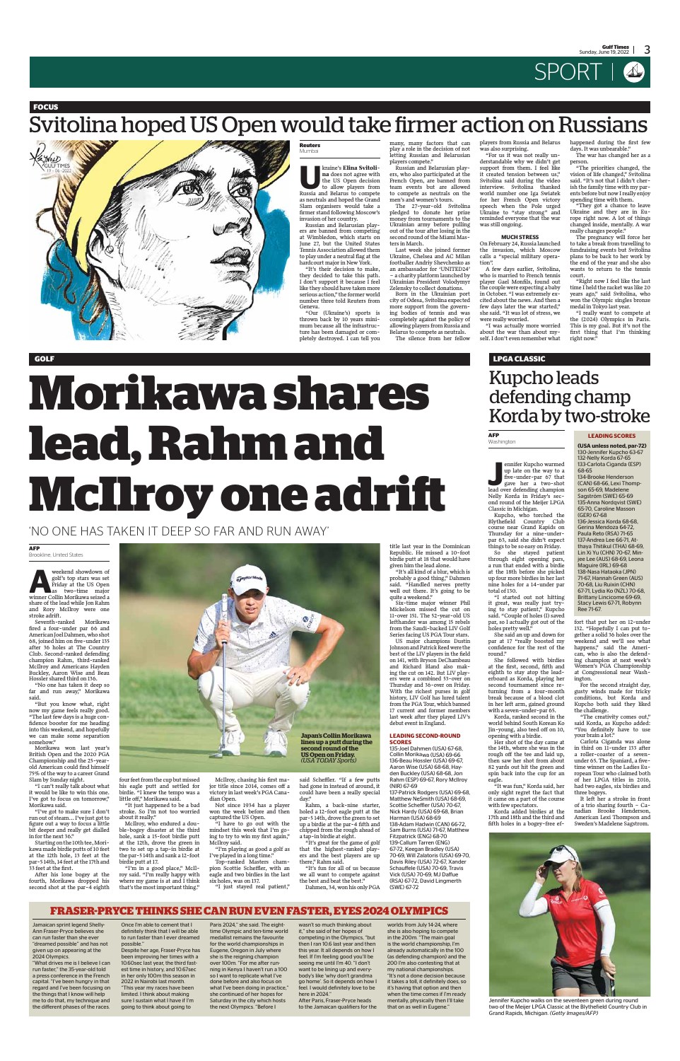



# **Morikawa shares lead, Rahm and McIlroy one adrift**

**AFP** Brookline, United States

**A A A A Weekend showdown of golf's top stars was set Friday at the US Open as two-time major winner Collin Morikawa seized a** golf's top stars was set Friday at the US Open as two-time major share of the lead while Jon Rahm and Rory McIlroy were one stroke adrift. Seventh-ranked Morikawa fired a four-under par 66 and American Joel Dahmen, who shot 68, joined him on five-under 135 after 36 holes at The Country Club. Second-ranked defending champion Rahm, third-ranked McIlroy and Americans Hayden Buckley, Aaron Wise and Beau Hossler shared third on 136. "No one has taken it deep so far and run away," Morikawa said. "But you know what, right now my game feels really good. "The last few days is a huge confidence booster for me heading into this weekend, and hopefully we can make some separation somehow." Morikawa won last year's British Open and the 2020 PGA Championship and the 25-yearold American could find himself 75% of the way to a career Grand Slam by Sunday night. "I can't really talk about what it would be like to win this one. I've got to focus on tomorrow," Morikawa said.

Starting on the 10th tee, Morikawa made birdie putts of 10 feet at the 12th hole, 13 feet at the par-5 14th, 14 feet at the 17th and 33 feet at the first.

four feet from the cup but missed his eagle putt and settled for birdie. "I knew the tempo was a little off," Morikawa said.

"I'm in a good place," McIlroy said. "I'm really happy with where my game is at and I think that's the most important thing."

McIlroy, chasing his first major title since 2014, comes off a victory in last week's PGA Canadian Open. Not since 1934 has a player

"I've got to make sure I don't run out of steam... I've just got to figure out a way to focus a little bit deeper and really get dialled in for the next 36."

> pion Scottie Scheffler, with an eagle and two birdies in the last six holes, was on 137.

said Scheffler. "If a few putts had gone in instead of around, it could have been a really special

"It's great for the game of golf that the highest-ranked players and the best players are up

After his lone bogey at the fourth, Morikawa dropped his second shot at the par-4 eighth

"It just happened to be a bad stroke. So I'm not too worried about it really."

McIlroy, who endured a double-bogey disaster at the third hole, sank a 15-foot birdie putt at the 12th, drove the green in two to set up a tap-in birdie at the par-5 14th and sank a 12-foot birdie putt at 17.

won the week before and then captured the US Open. "I have to go out with the

mindset this week that I'm going to try to win my first again," McIlroy said. "I'm playing as good a golf as

I've played in a long time." Top-ranked Masters cham-

**URGE SVITO SVITO II**<br> **EXECUTE AND THE US OPEN decision**<br>
to allow players from<br>
Russia and Belarus to compete **na** does not agree with the US Open decision to allow players from as neutrals and hoped the Grand Slam organisers would take a firmer stand following Moscow's invasion of her country.

"I just stayed real patient,"

day."

Rahm, a back-nine starter, holed a 12-foot eagle putt at the par-5 14th, drove the green to set up a birdie at the par-4 fifth and chipped from the rough ahead of a tap-in birdie at eight.

there," Rahm said.

"It's fun for all of us because we all want to compete against the best and beat the best." Dahmen, 34, won his only PGA title last year in the Dominican Republic. He missed a 10-foot birdie putt at 18 that would have given him the lead alone.

"It's all kind of a blur, which is probably a good thing," Dahmen said. "Handled nerves pretty well out there. It's going to be quite a weekend."

Svitolina said during the video interview. Svitolina thanked world number one Iga Swiatek for her French Open victory speech when the Pole urged Ukraine to "stay strong" and reminded everyone that the war was still ongoing.

Six-time major winner Phil Mickelson missed the cut on The 52-year lefthander was among 15 rebels from the Saudi-backed LIV Golf Series facing US PGA Tour stars.

#### happened during the first few days. It was unbearable." The war has changed her as a

US major champions Dustin Johnson and Patrick Reed were the best of the LIV players in the field on 141, with Bryson DeChambeau and Richard Bland also making the cut on 142. But LIV players were a combined 53-over on Thursday and 36-over on Friday. With the richest purses in golf history, LIV Golf has lured talent from the PGA Tour, which banned 17 current and former members last week after they played LIV's debut event in England.

#### **LEADING SECOND-ROUND SCORES**

135-Joel Dahmen (USA) 67-68, Collin Morikawa (USA) 69-66 136-Beau Hossler (USA) 69-67, Aaron Wise (USA) 68-68, Hayden Buckley (USA) 68-68, Jon Rahm (ESP) 69-67, Rory McIlroy (NIR) 67-69

#### **AFP Washington**

**Jennifer Kupcho warmed**<br> **up late on the way to a**<br> **five-under-par** 67 that<br> **gave** her a two-shot<br>
lead over defending champion ennifer Kupcho warmed up late on the way to a five-under-par 67 that gave her a two-shot Nelly Korda in Friday's second round of the Meijer LPGA Classic in Michigan.

137-Patrick Rodgers (USA) 69-68, Matthew NeSmith (USA) 68-69, Scottie Scheffler (USA) 70-67. Nick Hardy (USA) 69-68, Brian Harman (USA) 68-69 138-Adam Hadwin (CAN) 66-72, Sam Burns (USA) 71-67, Matthew Fitzpatrick (ENG) 68-70 139-Callum Tarren (ENG) 67-72, Keegan Bradley (USA) 70-69, Will Zalatoris (USA) 69-70, Davis Riley (USA) 72-67, Xander Schauffele (USA) 70-69, Travis Vick (USA) 70-69, MJ Daffue (RSA) 67-72, David Lingmerth (SWE) 67-72

**GOLF**

### 'NO ONE HAS TAKEN IT DEEP SO FAR AND RUN AWAY'

#### **Reuters** Mumbai

Korda added birdies at the 17th and 18th and the third and fifth holes in a bogey-free ef-

Russian and Belarusian players are banned from competing at Wimbledon, which starts on June 27, but the United States Tennis Association allowed them to play under a neutral flag at the hardcourt major in New York.

"It's their decision to make, they decided to take this path. I don't support it because I feel like they should have taken more serious action," the former world number three told Reuters from Geneva.

"Our (Ukraine's) sports is thrown back by 10 years minimum because all the infrastructure has been damaged or completely destroyed. I can tell you many, many factors that can play a role in the decision of not letting Russian and Belarusian players compete."

Russian and Belarusian players, who also participated at the French Open, are banned from team events but are allowed to compete as neutrals on the men's and women's tours.

The 27-year-old Svitolina pledged to donate her prize money from tournaments to the Ukrainian army before pulling out of the tour after losing in the second round of the Miami Masters in March.

"What drives me is I believe I can run faster," the 35-year-old told a press conference in the French capital. "I've been hungry in that regard and I've been focusing on the things that I know will help me to do that, my technique and the different phases of the races.

Last week she joined former Ukraine, Chelsea and AC Milan footballer Andriy Shevchenko as an ambassador for 'UNITED24' – a charity platform launched by Ukrainian President Volodymyr Zelensky to collect donations.

Born in the Ukrainian port city of Odesa, Svitolina expected more support from the governing bodies of tennis and was completely against the policy of allowing players from Russia and Belarus to compete as neutrals. The silence from her fellow

players from Russia and Belarus was also surprising.

"For us it was not really understandable why we didn't get support from them. I feel like it created tension between us,"

#### **MUCH STRESS**

On February 24, Russia launched the invasion, which Moscow calls a "special military operation". A few days earlier, Svitolina,

who is married to French tennis player Gael Monfils, found out the couple were expecting a baby in October. "I was extremely excited about the news. And then a few days later the war started," she said. "It was lot of stress, we

were really worried. "I was actually more worried about the war than about my-

self. I don't even remember what

person. "The priorities changed, the vision of life changed," Svitolina said. "It's not that I didn't cherish the family time with my parents before but now I really enjoy spending time with them.

"They got a chance to leave Ukraine and they are in Europe right now. A lot of things changed inside, mentally. A war really changes people."

The pregnancy will force her to take a break from travelling to fundraising events but Svitolina plans to be back to her work by the end of the year and she also wants to return to the tennis court.

"Right now I feel like the last time I held the racket was like 20 years ago," said Svitolina, who won the Olympic singles bronze medal in Tokyo last year.

"I really want to compete at the (2024) Olympics in Paris. This is my goal. But it's not the first thing that I'm thinking right now."

#### **FOCUS**

# Svitolina hoped US Open would take firmer action on Russians



## Kupcho leads defending champ Korda by two-stroke

Kupcho, who torched the Blythefield Country Club course near Grand Rapids on Thursday for a nine-underpar 63, said she didn't expect things to be so easy on Friday. So she stayed patient through eight opening pars, a run that ended with a birdie at the 18th before she picked up four more birdies in her last nine holes for a 14-under par total of 130.

"I started out not hitting it great, was really just trying to stay patient," Kupcho said. "Couple of holes (I) saved

par, so I actually got out of the holes pretty well."

She said an up and down for par at 17 "really boosted my confidence for the rest of the round."

She followed with birdies at the first, second, fifth and eighth to stay atop the leaderboard as Korda, playing her second tournament since returning from a four-month break because of a blood clot in her left arm, gained ground with a seven-under-par 65.

Korda, ranked second in the world behind South Korean Ko Jin-young, also teed off on 10, opening with a birdie.

Her shot of the day came at the 14th, where she was in the rough off the tee and laid up, then saw her shot from about 82 yards out hit the green and spin back into the cup for an eagle.

"It was fun," Korda said, her only sight regret the fact that it came on a part of the course with few spectators.

fort that put her on 12-under 132. "Hopefully I can put together a solid 36 holes over the weekend and we'll see what happens," said the American, who is also the defending champion at next week's Women's PGA Championship at Congressional near Washington.

For the second straight day, gusty winds made for tricky conditions, but Korda and Kupcho both said they liked the challenge.

"The creativity comes out," said Korda, as Kupcho added: "You definitely have to use your brain a lot."

Carlota Ciganda was alone in third on 11-under 133 after a roller-coaster of a sevenunder 65. The Spaniard, a fivetime winner on the Ladies European Tour who claimed both of her LPGA titles in 2016, had two eagles, six birdies and three bogeys.

It left her a stroke in front of a trio sharing fourth – Canadian Brooke Henderson, American Lexi Thompson and Sweden's Madelene Sagstrom.

#### **LPGA CLASSIC**



Jennifer Kupcho walks on the seventeen green during round two of the Meijer LPGA Classic at the Blythefield Country Club in Grand Rapids, Michigan. *(Getty Images/AFP)*



*(USA TODAY Sports)*

#### **LEADING SCORES**

**(USA unless noted, par-72)** 130-Jennifer Kupcho 63-67 132-Nelly Korda 67-65 133-Carlota Ciganda (ESP) 68-65

son 65-69, Madelene Sagström (SWE) 65-69 65-70, Caroline Masson (GER) 67-68 Gerina Mendoza 64-72, Paula Reto (RSA) 71-65

134-Brooke Henderson (CAN) 68-66, Lexi Thomp-135-Anna Nordqvist (SWE) 136-Jessica Korda 68-68, 137-Andrea Lee 66-71, Atthaya Thitikul (THA) 68-69, Lin Xi Yu (CHN) 70-67, Minjee Lee (AUS) 68-69, Leona Maguire (IRL) 69-68 138-Nasa Hataoka (JPN) 71-67, Hannah Green (AUS) 70-68, Liu Ruixin (CHN) 67-71, Lydia Ko (NZL) 70-68, Brittany Lincicome 69-69,

Stacy Lewis 67-71, Robynn

Ree 71-67.

#### **FRASER-PRYCE THINKS SHE CAN RUN EVEN FASTER, EYES 2024 OLYMPICS**

Jamaican sprint legend Shelly-Ann Fraser-Pryce believes she can run faster than she ever "dreamed possible" and has not given up on appearing at the 2024 Olympics.

Once I'm able to cement that I definitely think that I will be able to run faster than I ever dreamed possible."

Despite her age, Fraser-Pryce has been improving her times with a 10.60sec last year, the third fastest time in history, and 10.67sec in her only 100m this season in 2022 in Nairobi last month. "This year my races have been limited. I think about making sure I sustain what I have if I'm

going to think about going to

Paris 2024," she said. The eighttime Olympic and ten-time world medallist remains the favourite for the world championships in Eugene, Oregon in July where she is the reigning champion over 100m. "For me after running in Kenya I haven't run a 100 so I want to replicate what I've done before and also focus on what I've been doing in practice," she continued of her hopes for Saturday in the city which hosts the next Olympics. "Before I

wasn't so much thinking about it," she said of her hopes of competing in the Olympics, "but then I ran 10.6 last year and then this year. It all depends on how I feel. If I'm feeling good you'll be seeing me until I'm 40. "I don't want to be lining up and everybody's like 'why don't grandma go home'. So it depends on how I feel. I would definitely love to be here in 2024." After Paris, Fraser-Pryce heads to the Jamaican qualifiers for the

worlds from July 14-24, where she is also hoping to compete in the 200m. "The main goal is the world championship, I'm already automatically in the 100 (as defending champion) and the 200 I'm also contesting that at my national championships. "It's not a done decision because it takes a toll, it definitely does, so it's having that option and then when the time comes if I'm ready mentally, physically then I'll take that on as well in Eugene."